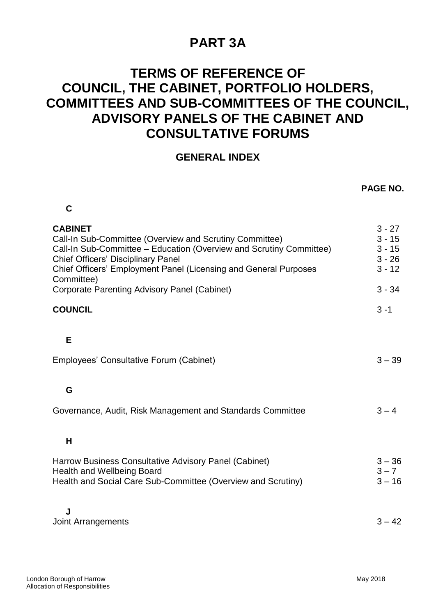## **PART 3A**

## **TERMS OF REFERENCE OF COUNCIL, THE CABINET, PORTFOLIO HOLDERS, COMMITTEES AND SUB-COMMITTEES OF THE COUNCIL, ADVISORY PANELS OF THE CABINET AND CONSULTATIVE FORUMS**

## **GENERAL INDEX**

|                                                                                                                                                                                                                                                                                                                                        | PAGE NO.                                                             |
|----------------------------------------------------------------------------------------------------------------------------------------------------------------------------------------------------------------------------------------------------------------------------------------------------------------------------------------|----------------------------------------------------------------------|
| C                                                                                                                                                                                                                                                                                                                                      |                                                                      |
| <b>CABINET</b><br>Call-In Sub-Committee (Overview and Scrutiny Committee)<br>Call-In Sub-Committee - Education (Overview and Scrutiny Committee)<br><b>Chief Officers' Disciplinary Panel</b><br>Chief Officers' Employment Panel (Licensing and General Purposes<br>Committee)<br><b>Corporate Parenting Advisory Panel (Cabinet)</b> | $3 - 27$<br>$3 - 15$<br>$3 - 15$<br>$3 - 26$<br>$3 - 12$<br>$3 - 34$ |
| <b>COUNCIL</b>                                                                                                                                                                                                                                                                                                                         | $3 - 1$                                                              |
|                                                                                                                                                                                                                                                                                                                                        |                                                                      |
| E                                                                                                                                                                                                                                                                                                                                      |                                                                      |
| Employees' Consultative Forum (Cabinet)                                                                                                                                                                                                                                                                                                | $3 - 39$                                                             |
|                                                                                                                                                                                                                                                                                                                                        |                                                                      |
| G                                                                                                                                                                                                                                                                                                                                      |                                                                      |
| Governance, Audit, Risk Management and Standards Committee                                                                                                                                                                                                                                                                             | $3 - 4$                                                              |
| H                                                                                                                                                                                                                                                                                                                                      |                                                                      |
|                                                                                                                                                                                                                                                                                                                                        |                                                                      |
| Harrow Business Consultative Advisory Panel (Cabinet)<br><b>Health and Wellbeing Board</b>                                                                                                                                                                                                                                             | $3 - 36$<br>$3 - 7$                                                  |
| Health and Social Care Sub-Committee (Overview and Scrutiny)                                                                                                                                                                                                                                                                           | $3 - 16$                                                             |
|                                                                                                                                                                                                                                                                                                                                        |                                                                      |
| J<br>Joint Arrangements                                                                                                                                                                                                                                                                                                                | $3 - 42$                                                             |
|                                                                                                                                                                                                                                                                                                                                        |                                                                      |